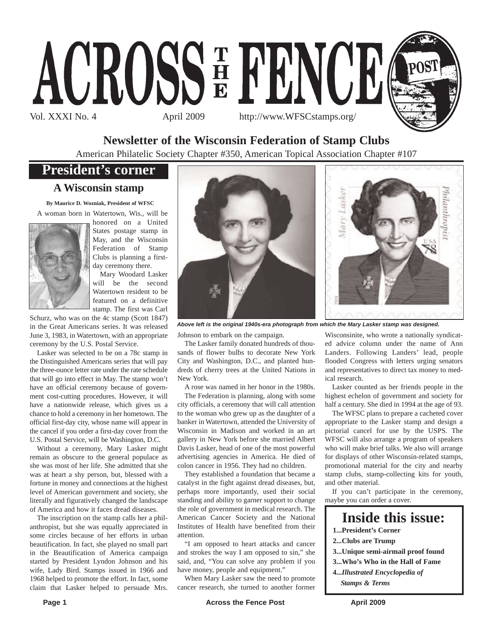

# **Newsletter of the Wisconsin Federation of Stamp Clubs**

American Philatelic Society Chapter #350, American Topical Association Chapter #107

# **President's corner**

## **A Wisconsin stamp**

**By Maurice D. Wozniak, President of WFSC** A woman born in Watertown, Wis., will be



honored on a United States postage stamp in May, and the Wisconsin Federation of Stamp Clubs is planning a firstday ceremony there.

Mary Woodard Lasker will be the second Watertown resident to be featured on a definitive stamp. The first was Carl

Schurz, who was on the 4c stamp (Scott 1847) in the Great Americans series. It was released June 3, 1983, in Watertown, with an appropriate ceremony by the U.S. Postal Service.

Lasker was selected to be on a 78c stamp in the Distinguished Americans series that will pay the three-ounce letter rate under the rate schedule that will go into effect in May. The stamp won't have an official ceremony because of government cost-cutting procedures. However, it will have a nationwide release, which gives us a chance to hold a ceremony in her hometown. The official first-day city, whose name will appear in the cancel if you order a first-day cover from the U.S. Postal Service, will be Washington, D.C.

Without a ceremony, Mary Lasker might remain as obscure to the general populace as she was most of her life. She admitted that she was at heart a shy person, but, blessed with a fortune in money and connections at the highest level of American government and society, she literally and figuratively changed the landscape of America and how it faces dread diseases.

The inscription on the stamp calls her a philanthropist, but she was equally appreciated in some circles because of her efforts in urban beautification. In fact, she played no small part in the Beautification of America campaign started by President Lyndon Johnson and his wife, Lady Bird. Stamps issued in 1966 and 1968 helped to promote the effort. In fact, some claim that Lasker helped to persuade Mrs.





*Above left is the original 1940s-era photograph from which the Mary Lasker stamp was designed.*

Johnson to embark on the campaign.

The Lasker family donated hundreds of thousands of flower bulbs to decorate New York City and Washington, D.C., and planted hundreds of cherry trees at the United Nations in New York.

A rose was named in her honor in the 1980s.

The Federation is planning, along with some city officials, a ceremony that will call attention to the woman who grew up as the daughter of a banker in Watertown, attended the University of Wisconsin in Madison and worked in an art gallery in New York before she married Albert Davis Lasker, head of one of the most powerful advertising agencies in America. He died of colon cancer in 1956. They had no children.

They established a foundation that became a catalyst in the fight against dread diseases, but, perhaps more importantly, used their social standing and ability to garner support to change the role of government in medical research. The American Cancer Society and the National Institutes of Health have benefited from their attention.

"I am opposed to heart attacks and cancer and strokes the way I am opposed to sin," she said, and, "You can solve any problem if you have money, people and equipment."

When Mary Lasker saw the need to promote cancer research, she turned to another former

Wisconsinite, who wrote a nationally syndicated advice column under the name of Ann Landers. Following Landers' lead, people flooded Congress with letters urging senators and representatives to direct tax money to medical research.

Lasker counted as her friends people in the highest echelon of government and society for half a century. She died in 1994 at the age of 93.

The WFSC plans to prepare a cacheted cover appropriate to the Lasker stamp and design a pictorial cancel for use by the USPS. The WFSC will also arrange a program of speakers who will make brief talks. We also will arrange for displays of other Wisconsin-related stamps, promotional material for the city and nearby stamp clubs, stamp-collecting kits for youth, and other material.

If you can't participate in the ceremony, maybe you can order a cover.

# **Inside this issue:**

- **1...President's Corner**
- **2...Clubs are Trump**
- **3...Unique semi-airmail proof found**
- **3...Who's Who in the Hall of Fame**
- **4...***Illustrated Encyclopedia of Stamps & Terms*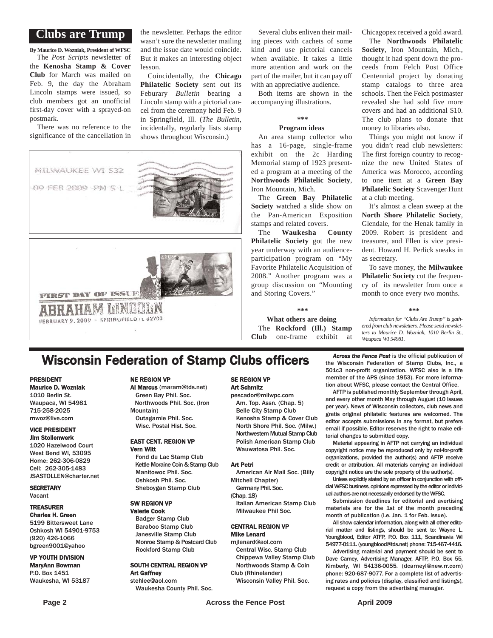### **Clubs are Trump**

**By Maurice D. Wozniak, President of WFSC**

The *Post Scripts* newsletter of the **Kenosha Stamp & Cover Club** for March was mailed on Feb. 9, the day the Abraham Lincoln stamps were issued, so club members got an unofficial first-day cover with a sprayed-on postmark.

There was no reference to the significance of the cancellation in

the newsletter. Perhaps the editor wasn't sure the newsletter mailing and the issue date would coincide. But it makes an interesting object lesson.

Coincidentally, the **Chicago Philatelic Society** sent out its Feburary *Bulletin* bearing a Lincoln stamp with a pictorial cancel from the ceremony held Feb. 9 in Springfield, Ill. (*The Bulletin*, incidentally, regularly lists stamp shows throughout Wisconsin.)

MILWAUKEE WI 532 09 FEB 2009 PM 5 L

**FIRST DAY OF ISSUE** Д FEBRUARY 9, 2009 - SPRINGFIELD IL 62703

Several clubs enliven their mailing pieces with cachets of some kind and use pictorial cancels when available. It takes a little more attention and work on the part of the mailer, but it can pay off with an appreciative audience.

Both items are shown in the accompanying illustrations.

#### **\*\*\***

#### **Program ideas**

An area stamp collector who has a 16-page, single-frame exhibit on the 2c Harding Memorial stamp of 1923 presented a program at a meeting of the **Northwoods Philatelic Society**, Iron Mountain, Mich.

The **Green Bay Philatelic Society** watched a slide show on the Pan-American Exposition stamps and related covers.

The **Waukesha County Philatelic Society** got the new year underway with an audienceparticipation program on "My Favorite Philatelic Acquisition of 2008." Another program was a group discussion on "Mounting and Storing Covers."

**\*\*\***

**What others are doing** The **Rockford (Ill.) Stamp Club** one-frame exhibit at Chicagopex received a gold award. The **Northwoods Philatelic Society**, Iron Mountain, Mich., thought it had spent down the proceeds from Felch Post Office Centennial project by donating stamp catalogs to three area schools. Then the Felch postmaster revealed she had sold five more covers and had an additional \$10. The club plans to donate that

money to libraries also. Things you might not know if you didn't read club newsletters: The first foreign country to recognize the new United States of America was Morocco, according to one item at a **Green Bay Philatelic Society** Scavenger Hunt at a club meeting.

It's almost a clean sweep at the **North Shore Philatelic Society**, Glendale, for the Henak family in 2009. Robert is president and treasurer, and Ellen is vice president. Howard H. Perlick sneaks in as secretary.

To save money, the **Milwaukee Philatelic Society** cut the frequency of its newsletter from once a month to once every two months.

**\*\*\***

*Information for "Clubs Are Trump" is gathered from club newsletters. Please send newsletters to Maurice D. Wozniak, 1010 Berlin St., Waupaca WI 54981.*

# **Wisconsin Federation of Stamp Clubs officers** *Across the Fence Post* is the official publication of stamp Clubs, Inc., a

### PRESIDENT

Maurice D. Wozniak

1010 Berlin St. Waupaca, WI 54981 715-258-2025 mwoz@live.com

#### VICE PRESIDENT Jim Stollenwerk

1020 Hazelwood Court West Bend WI, 53095 Home: 262-306-0829 Cell: 262-305-1483 JSASTOLLEN@charter.net

**SECRETARY** Vacant

#### TREASURER Charles H. Green

5199 Bittersweet Lane Oshkosh WI 54901-9753 (920) 426-1066 bgreen9001@yahoo

VP YOUTH DIVISION MaryAnn Bowman P.O. Box 1451 Waukesha, WI 53187

### NE REGION VP

Al Marcus (maram@tds.net) Green Bay Phil. Soc. Northwoods Phil. Soc. (Iron Mountain) Outagamie Phil. Soc.

Wisc. Postal Hist. Soc.

#### EAST CENT. REGION VP Vern Witt

Fond du Lac Stamp Club Kettle Moraine Coin & Stamp Club Manitowoc Phil. Soc. Oshkosh Phil. Soc. Sheboygan Stamp Club

#### SW REGION VP

Valerie Cook Badger Stamp Club Baraboo Stamp Club Janesville Stamp Club Monroe Stamp & Postcard Club Rockford Stamp Club

SOUTH CENTRAL REGION VP Art Gaffney stehlee@aol.com

Waukesha County Phil. Soc.

#### SE REGION VP Art Schmitz

pescador@milwpc.com Am. Top. Assn. (Chap. 5) Belle City Stamp Club Kenosha Stamp & Cover Club North Shore Phil. Soc. (Milw.) Northwestern Mutual Stamp Club Polish American Stamp Club Wauwatosa Phil. Soc.

#### Art Petri

American Air Mail Soc. (Billy Mitchell Chapter)

Germany Phil. Soc. (Chap. 18)

Italian American Stamp Club Milwaukee Phil Soc.

#### CENTRAL REGION VP Mike Lenard

mjlenard@aol.com Central Wisc. Stamp Club

Chippewa Valley Stamp Club Northwoods Stamp & Coin Club (Rhinelander)

Wisconsin Valley Phil. Soc.

the Wisconsin Federation of Stamp Clubs, Inc., a 501c3 non-profit organization. WFSC also is a life member of the APS (since 1953). For more information about WFSC, please contact the Central Office.

AFTP is published monthly September through April, and every other month May through August (10 issues per year). News of Wisconsin collectors, club news and gratis original philatelic features are welcomed. The editor accepts submissions in any format, but prefers email if possible. Editor reserves the right to make editorial changes to submitted copy.

Material appearing in AFTP not carrying an individual copyright notice may be reproduced only by not-for-profit organizations, provided the author(s) and AFTP receive credit or attribution. All materials carrying an individual copyright notice are the sole property of the author(s).

Unless explicitly stated by an officer in conjunction with official WFSC business, opinions expressed by the editor or individual authors are not necessarily endorsed by the WFSC.

Submission deadlines for editorial and avertising materials are for the 1st of the month preceding month of publication (i.e. Jan. 1 for Feb. issue).

All show calendar information, along with all other editorial matter and listings, should be sent to: Wayne L. Youngblood, Editor ATFP, P.O. Box 111, Scandinavia WI 54977-0111. (youngblood@tds.net) phone: 715-467-4416.

Advertising material and payment should be sent to Dave Carney, Advertising Manager, AFTP, P.O. Box 55, Kimberly, WI 54136-0055. (dcarneyl@new.rr.com) phone: 920-687-9077. For a complete list of advertising rates and policies (display, classified and listings), request a copy from the advertising manager.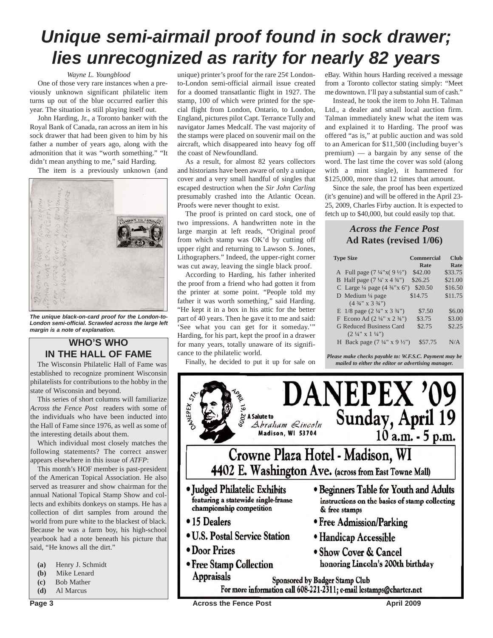# *Unique semi-airmail proof found in sock drawer; lies unrecognized as rarity for nearly 82 years*

#### *Wayne L. Youngblood*

One of those very rare instances when a previously unknown significant philatelic item turns up out of the blue occurred earlier this year. The situation is still playing itself out.

John Harding, Jr., a Toronto banker with the Royal Bank of Canada, ran across an item in his sock drawer that had been given to him by his father a number of years ago, along with the admonition that it was "worth something." "It didn't mean anything to me," said Harding.

The item is a previously unknown (and



*The unique black-on-card proof for the London-to-London semi-official. Scrawled across the large left margin is a note of explanation.*

## **WHO'S WHO IN THE HALL OF FAME**

The Wisconsin Philatelic Hall of Fame was established to recognize prominent Wisconsin philatelists for contributions to the hobby in the state of Wisconsin and beyond.

This series of short columns will familiarize *Across the Fence Post* readers with some of the individuals who have been inducted into the Hall of Fame since 1976, as well as some of the interesting details about them.

Which individual most closely matches the following statements? The correct answer appears elsewhere in this issue of *ATFP*:

This month's HOF member is past-president of the American Topical Association. He also served as treasurer and show chairman for the annual National Topical Stamp Show and collects and exhibits donkeys on stamps. He has a collection of dirt samples from around the world from pure white to the blackest of black. Because he was a farm boy, his high-school yearbook had a note beneath his picture that said, "He knows all the dirt."

- **(a)** Henry J. Schmidt
- **(b)** Mike Lenard
- **(c)** Bob Mather
- **(d)** Al Marcus

unique) printer's proof for the rare  $25¢$  Londonto-London semi-official airmail issue created for a doomed transatlantic flight in 1927. The stamp, 100 of which were printed for the special flight from London, Ontario, to London, England, pictures pilot Capt. Terrance Tully and navigator James Medcalf. The vast majority of the stamps were placed on souvenir mail on the aircraft, which disappeared into heavy fog off the coast of Newfoundland.

As a result, for almost 82 years collectors and historians have been aware of only a unique cover and a very small handful of singles that escaped destruction when the *Sir John Carling* presumably crashed into the Atlantic Ocean. Proofs were never thought to exist.

The proof is printed on card stock, one of two impressions. A handwritten note in the large margin at left reads, "Original proof from which stamp was OK'd by cutting off upper right and returning to Lawson S. Jones, Lithographers." Indeed, the upper-right corner was cut away, leaving the single black proof.

According to Harding, his father inherited the proof from a friend who had gotten it from the printer at some point. "People told my father it was worth something," said Harding. "He kept it in a box in his attic for the better part of 40 years. Then he gave it to me and said: 'See what you can get for it someday.'" Harding, for his part, kept the proof in a drawer for many years, totally unaware of its significance to the philatelic world.

Finally, he decided to put it up for sale on

eBay. Within hours Harding received a message from a Toronto collector stating simply: "Meet me downtown. I'll pay a substantial sum of cash."

Instead, he took the item to John H. Talman Ltd., a dealer and small local auction firm. Talman immediately knew what the item was and explained it to Harding. The proof was offered "as is," at public auction and was sold to an American for \$11,500 (including buyer's premium) — a bargain by any sense of the word. The last time the cover was sold (along with a mint single), it hammered for \$125,000, more than 12 times that amount.

Since the sale, the proof has been expertized (it's genuine) and will be offered in the April 23- 25, 2009, Charles Firby auction. It is expected to fetch up to \$40,000, but could easily top that.

## *Across the Fence Post* **Ad Rates (revised 1/06)**

| <b>Type Size</b>                                   | Commercial | <b>Club</b> |
|----------------------------------------------------|------------|-------------|
|                                                    | Rate       | Rate        |
| A Full page $(7\frac{1}{4}x(9\frac{1}{2}y))$       | \$42.00    | \$33.75     |
| B Half page $(7\frac{1}{4} \times 4\frac{3}{4})$   | \$26.25    | \$21.00     |
| C Large $\frac{1}{4}$ page (4 $\frac{3}{4}$ "x 6") | \$20.50    | \$16.50     |
| D Medium $\frac{1}{4}$ page                        | \$14.75    | \$11.75     |
| $(4\frac{3}{4}$ " x 3 $\frac{3}{4}$ ")             |            |             |
| E $1/8$ page $(2\frac{1}{4}$ " x $3\frac{3}{4}$ ") | \$7.50     | \$6.00      |
| F Econo Ad $(2\frac{1}{4}$ " x $2\frac{3}{4}$ ")   | \$3.75     | \$3.00      |
| <b>G Reduced Business Card</b>                     | \$2.75     | \$2.25      |
| $(2 \frac{1}{4}$ " x 1 $\frac{1}{4}$ ")            |            |             |
| H Back page $(7\frac{1}{4}$ " x 9 $\frac{1}{2}$ ") | \$57.75    | N/A         |

*Please make checks payable to: W.F.S.C. Payment may be mailed to either the editor or advertising manager.*